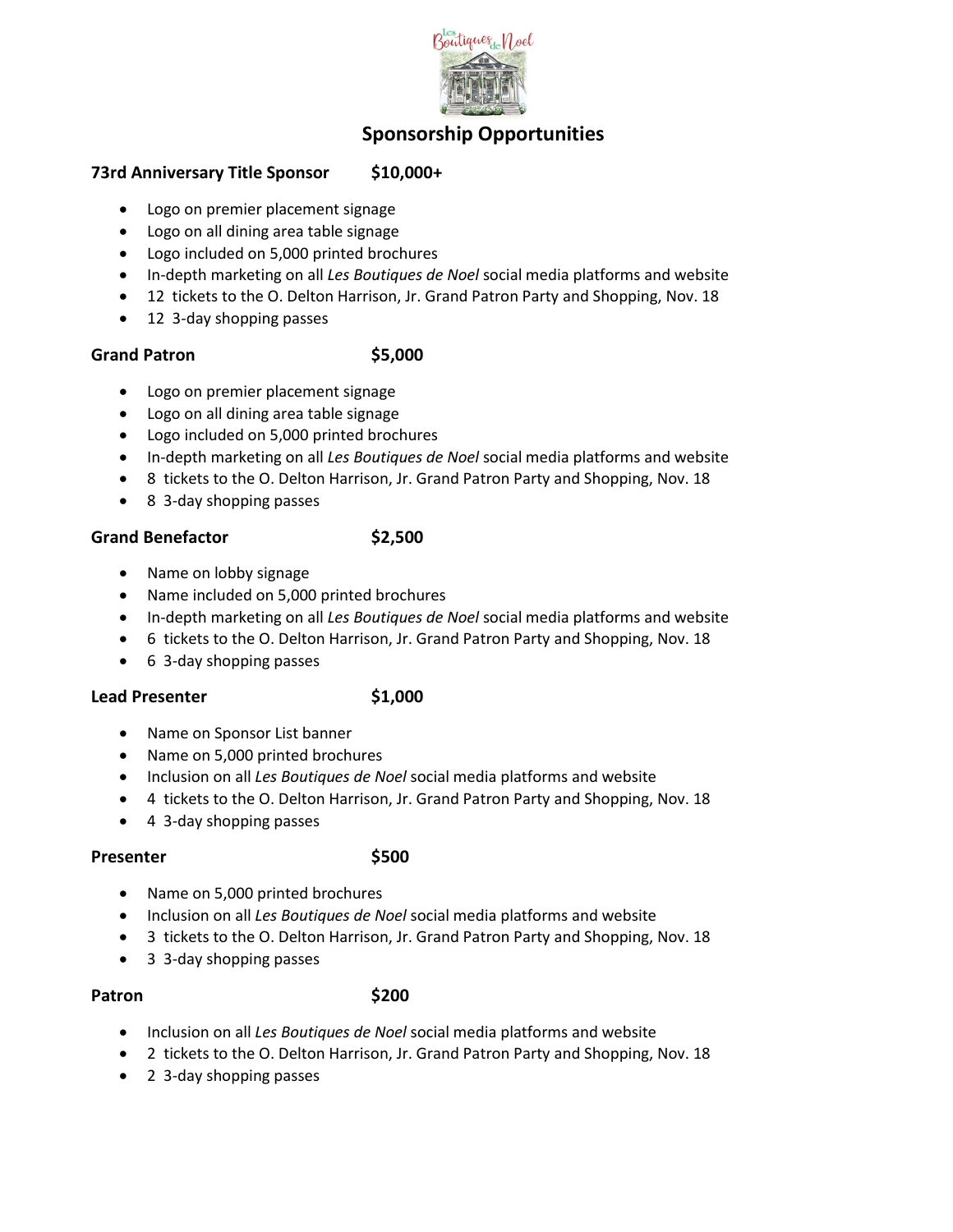

# **Sponsorship Opportunities**

### **73rd Anniversary Title Sponsor \$10,000+**

- Logo on premier placement signage
- Logo on all dining area table signage
- Logo included on 5,000 printed brochures
- In-depth marketing on all *Les Boutiques de Noel* social media platforms and website
- 12 tickets to the O. Delton Harrison, Jr. Grand Patron Party and Shopping, Nov. 18
- 12 3-day shopping passes

### **Grand Patron \$5,000**

- Logo on premier placement signage
- Logo on all dining area table signage
- Logo included on 5,000 printed brochures
- In-depth marketing on all *Les Boutiques de Noel* social media platforms and website
- 8 tickets to the O. Delton Harrison, Jr. Grand Patron Party and Shopping, Nov. 18
- 8 3-day shopping passes

### Grand Benefactor **\$2,500**

- Name on lobby signage
- Name included on 5,000 printed brochures
- In-depth marketing on all *Les Boutiques de Noel* social media platforms and website
- 6 tickets to the O. Delton Harrison, Jr. Grand Patron Party and Shopping, Nov. 18
- 6 3-day shopping passes

### Lead Presenter **\$1,000**

- Name on Sponsor List banner
- Name on 5,000 printed brochures
- Inclusion on all *Les Boutiques de Noel* social media platforms and website
- 4 tickets to the O. Delton Harrison, Jr. Grand Patron Party and Shopping, Nov. 18
- 4 3-day shopping passes

### Presenter \$500

- Name on 5,000 printed brochures
- Inclusion on all *Les Boutiques de Noel* social media platforms and website
- 3 tickets to the O. Delton Harrison, Jr. Grand Patron Party and Shopping, Nov. 18
- 3 3-day shopping passes

### **Patron \$200**

- Inclusion on all *Les Boutiques de Noel* social media platforms and website
- 2 tickets to the O. Delton Harrison, Jr. Grand Patron Party and Shopping, Nov. 18
- 2 3-day shopping passes